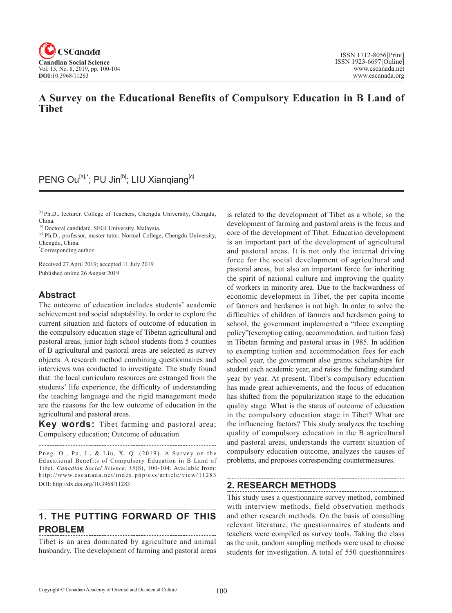

### **A Survey on the Educational Benefits of Compulsory Education in B Land of Tibet**

### PENG Ou<sup>[a],\*</sup>; PU Jin<sup>[b]</sup>; LIU Xianqiang<sup>[c]</sup>

[a] Ph.D., lecturer. College of Teachers, Chengdu University, Chengdu, China.

[b] Doctoral candidate, SEGI University. Malaysia.

[c] Ph.D., professor, master tutor, Normal College, Chengdu University, Chengdu, China.

\* Corresponding author.

Received 27 April 2019; accepted 11 July 2019 Published online 26 August 2019

### **Abstract**

The outcome of education includes students' academic achievement and social adaptability. In order to explore the current situation and factors of outcome of education in the compulsory education stage of Tibetan agricultural and pastoral areas, junior high school students from 5 counties of B agricultural and pastoral areas are selected as survey objects. A research method combining questionnaires and interviews was conducted to investigate. The study found that: the local curriculum resources are estranged from the students' life experience, the difficulty of understanding the teaching language and the rigid management mode are the reasons for the low outcome of education in the agricultural and pastoral areas.

**Key words:** Tibet farming and pastoral area; Compulsory education; Outcome of education

Pneg, O., Pu, J., & Liu, X. Q. (2019). A Survey on the Educational Benefits of Compulsory Education in B Land of Tibet. *Canadian Social Science*, 15(8), 100-104. Available from: http://www.cscanada.net/index.php/css/article/view/11283 DOI: http://dx.doi.org/10.3968/11283

# **1. THE PUTTING FORWARD OF THIS PROBLEM**

Tibet is an area dominated by agriculture and animal husbandry. The development of farming and pastoral areas

is related to the development of Tibet as a whole, so the development of farming and pastoral areas is the focus and core of the development of Tibet. Education development is an important part of the development of agricultural and pastoral areas. It is not only the internal driving force for the social development of agricultural and pastoral areas, but also an important force for inheriting the spirit of national culture and improving the quality of workers in minority area. Due to the backwardness of economic development in Tibet, the per capita income of farmers and herdsmen is not high. In order to solve the difficulties of children of farmers and herdsmen going to school, the government implemented a "three exempting policy"(exempting eating, accommodation, and tuition fees) in Tibetan farming and pastoral areas in 1985. In addition to exempting tuition and accommodation fees for each school year, the government also grants scholarships for student each academic year, and raises the funding standard year by year. At present, Tibet's compulsory education has made great achievements, and the focus of education has shifted from the popularization stage to the education quality stage. What is the status of outcome of education in the compulsory education stage in Tibet? What are the influencing factors? This study analyzes the teaching quality of compulsory education in the B agricultural and pastoral areas, understands the current situation of compulsory education outcome, analyzes the causes of problems, and proposes corresponding countermeasures.

### **2. RESEARCH METHODS**

This study uses a questionnaire survey method, combined with interview methods, field observation methods and other research methods. On the basis of consulting relevant literature, the questionnaires of students and teachers were compiled as survey tools. Taking the class as the unit, random sampling methods were used to choose students for investigation. A total of 550 questionnaires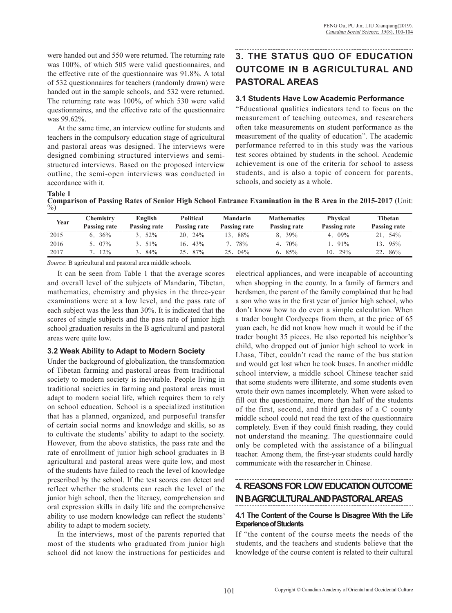were handed out and 550 were returned. The returning rate was 100%, of which 505 were valid questionnaires, and the effective rate of the questionnaire was 91.8%. A total of 532 questionnaires for teachers (randomly drawn) were handed out in the sample schools, and 532 were returned. The returning rate was 100%, of which 530 were valid questionnaires, and the effective rate of the questionnaire was 99.62%.

At the same time, an interview outline for students and teachers in the compulsory education stage of agricultural and pastoral areas was designed. The interviews were designed combining structured interviews and semistructured interviews. Based on the proposed interview outline, the semi-open interviews was conducted in accordance with it.

# **3. THE STATUS QUO OF EDUCATION OUTCOME IN B AGRICULTURAL AND PASTORAL AREAS**

#### **3.1 Students Have Low Academic Performance**

"Educational qualities indicators tend to focus on the measurement of teaching outcomes, and researchers often take measurements on student performance as the measurement of the quality of education". The academic performance referred to in this study was the various test scores obtained by students in the school. Academic achievement is one of the criteria for school to assess students, and is also a topic of concern for parents, schools, and society as a whole.

**Table 1 Comparison of Passing Rates of Senior High School Entrance Examination in the B Area in the 2015-2017** (Unit: %)

| Year | <b>Chemistry</b><br>Passing rate | English<br>Passing rate | <b>Political</b><br>Passing rate | <b>Mandarin</b><br>Passing rate | <b>Mathematics</b><br>Passing rate | <b>Physical</b><br>Passing rate | Tibetan<br>Passing rate |
|------|----------------------------------|-------------------------|----------------------------------|---------------------------------|------------------------------------|---------------------------------|-------------------------|
| 2015 | 36%                              | 52%                     | $20.24\%$                        | 88%                             | $8.39\%$                           | 4. $09\%$                       | $21.54\%$               |
| 2016 | 07%                              | $3.51\%$                | $16.43\%$                        | 78%                             | $4.70\%$                           | 91%                             | 13. 95%                 |
| 2017 | 12%                              | 84%                     | 87%<br>25.                       | $04\%$<br>25.                   | 85%<br>რ.                          | 29%<br>10.                      | 86%<br>22.              |

*Source*: B agricultural and pastoral area middle schools.

It can be seen from Table 1 that the average scores and overall level of the subjects of Mandarin, Tibetan, mathematics, chemistry and physics in the three-year examinations were at a low level, and the pass rate of each subject was the less than 30%. It is indicated that the scores of single subjects and the pass rate of junior high school graduation results in the B agricultural and pastoral areas were quite low.

#### **3.2 Weak Ability to Adapt to Modern Society**

Under the background of globalization, the transformation of Tibetan farming and pastoral areas from traditional society to modern society is inevitable. People living in traditional societies in farming and pastoral areas must adapt to modern social life, which requires them to rely on school education. School is a specialized institution that has a planned, organized, and purposeful transfer of certain social norms and knowledge and skills, so as to cultivate the students' ability to adapt to the society. However, from the above statistics, the pass rate and the rate of enrollment of junior high school graduates in B agricultural and pastoral areas were quite low, and most of the students have failed to reach the level of knowledge prescribed by the school. If the test scores can detect and reflect whether the students can reach the level of the junior high school, then the literacy, comprehension and oral expression skills in daily life and the comprehensive ability to use modern knowledge can reflect the students' ability to adapt to modern society.

In the interviews, most of the parents reported that most of the students who graduated from junior high school did not know the instructions for pesticides and

electrical appliances, and were incapable of accounting when shopping in the county. In a family of farmers and herdsmen, the parent of the family complained that he had a son who was in the first year of junior high school, who don't know how to do even a simple calculation. When a trader bought Cordyceps from them, at the price of 65 yuan each, he did not know how much it would be if the trader bought 35 pieces. He also reported his neighbor's child, who dropped out of junior high school to work in Lhasa, Tibet, couldn't read the name of the bus station and would get lost when he took buses. In another middle school interview, a middle school Chinese teacher said that some students were illiterate, and some students even wrote their own names incompletely. When were asked to fill out the questionnaire, more than half of the students of the first, second, and third grades of a C county middle school could not read the text of the questionnaire completely. Even if they could finish reading, they could not understand the meaning. The questionnaire could only be completed with the assistance of a bilingual teacher. Among them, the first-year students could hardly communicate with the researcher in Chinese.

## **4. REASONS FOR LOW EDUCATION OUTCOME IN B AGRICULTURAL AND PASTORAL AREAS**

#### **4.1 The Content of the Course Is Disagree With the Life Experience of Students**

If "the content of the course meets the needs of the students, and the teachers and students believe that the knowledge of the course content is related to their cultural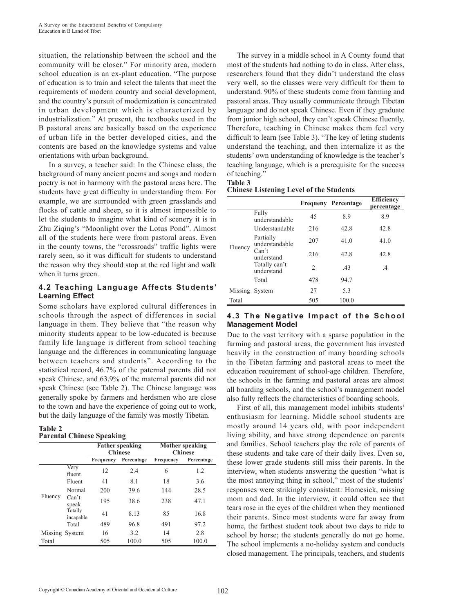situation, the relationship between the school and the community will be closer." For minority area, modern school education is an ex-plant education. "The purpose of education is to train and select the talents that meet the requirements of modern country and social development, and the country's pursuit of modernization is concentrated in urban development which is characterized by industrialization." At present, the textbooks used in the B pastoral areas are basically based on the experience of urban life in the better developed cities, and the contents are based on the knowledge systems and value orientations with urban background.

In a survey, a teacher said: In the Chinese class, the background of many ancient poems and songs and modern poetry is not in harmony with the pastoral areas here. The students have great difficulty in understanding them. For example, we are surrounded with green grasslands and flocks of cattle and sheep, so it is almost impossible to let the students to imagine what kind of scenery it is in Zhu Ziqing's "Moonlight over the Lotus Pond". Almost all of the students here were from pastoral areas. Even in the county towns, the "crossroads" traffic lights were rarely seen, so it was difficult for students to understand the reason why they should stop at the red light and walk when it turns green.

#### **4.2 Teaching Language Affects Students' Learning Effect**

Some scholars have explored cultural differences in schools through the aspect of differences in social language in them. They believe that "the reason why minority students appear to be low-educated is because family life language is different from school teaching language and the differences in communicating language between teachers and students". According to the statistical record, 46.7% of the paternal parents did not speak Chinese, and 63.9% of the maternal parents did not speak Chinese (see Table 2). The Chinese language was generally spoke by farmers and herdsmen who are close to the town and have the experience of going out to work, but the daily language of the family was mostly Tibetan.

#### **Table 2 Parental Chinese Speaking**

|                |                      | <b>Father speaking</b><br><b>Chinese</b> |            | Mother speaking<br><b>Chinese</b> |            |  |
|----------------|----------------------|------------------------------------------|------------|-----------------------------------|------------|--|
|                |                      | Frequency                                | Percentage | Frequency                         | Percentage |  |
|                | Very<br>fluent       | 12                                       | 2.4        | 6                                 | 1.2        |  |
|                | Fluent               | 41                                       | 8.1        | 18                                | 3.6        |  |
|                | Normal               | 200                                      | 39.6       | 144                               | 28.5       |  |
| Fluency        | Can't<br>speak       | 195                                      | 38.6       | 238                               | 47.1       |  |
|                | Totally<br>incapable | 41                                       | 8.13       | 85                                | 16.8       |  |
|                | Total                | 489                                      | 96.8       | 491                               | 97.2       |  |
| Missing System |                      | 16                                       | 3.2        | 14                                | 2.8        |  |
| Total          |                      | 505                                      | 100.0      | 505                               | 100.0      |  |

The survey in a middle school in A County found that most of the students had nothing to do in class. After class, researchers found that they didn't understand the class very well, so the classes were very difficult for them to understand. 90% of these students come from farming and pastoral areas. They usually communicate through Tibetan language and do not speak Chinese. Even if they graduate from junior high school, they can't speak Chinese fluently. Therefore, teaching in Chinese makes them feel very difficult to learn (see Table 3). "The key of leting students understand the teaching, and then internalize it as the students' own understanding of knowledge is the teacher's teaching language, which is a prerequisite for the success of teaching."

### **Table 3**

**Chinese Listening Level of the Students** 

|                |                             |     | <b>Frequeny Percentage</b> | <b>Efficiency</b><br>percentage |
|----------------|-----------------------------|-----|----------------------------|---------------------------------|
|                | Fully<br>understandable     | 45  | 8.9                        | 8.9                             |
|                | Understandable              | 216 | 42.8                       | 42.8                            |
| Fluency        | Partially<br>understandable | 207 | 41.0                       | 41.0                            |
|                | Can't<br>understand         | 216 | 42.8                       | 42.8                            |
|                | Totally can't<br>understand | 2   | .43                        | $\cdot$                         |
|                | Total                       | 478 | 94.7                       |                                 |
| Missing System |                             | 27  | 5.3                        |                                 |
| Total          |                             | 505 | 100.0                      |                                 |

#### **4.3 The Negative Impact of the School Management Model**

Due to the vast territory with a sparse population in the farming and pastoral areas, the government has invested heavily in the construction of many boarding schools in the Tibetan farming and pastoral areas to meet the education requirement of school-age children. Therefore, the schools in the farming and pastoral areas are almost all boarding schools, and the school's management model also fully reflects the characteristics of boarding schools.

First of all, this management model inhibits students' enthusiasm for learning. Middle school students are mostly around 14 years old, with poor independent living ability, and have strong dependence on parents and families. School teachers play the role of parents of these students and take care of their daily lives. Even so, these lower grade students still miss their parents. In the interview, when students answering the question "what is the most annoying thing in school," most of the students' responses were strikingly consistent: Homesick, missing mom and dad. In the interview, it could often see that tears rose in the eyes of the children when they mentioned their parents. Since most students were far away from home, the farthest student took about two days to ride to school by horse; the students generally do not go home. The school implements a no-holiday system and conducts closed management. The principals, teachers, and students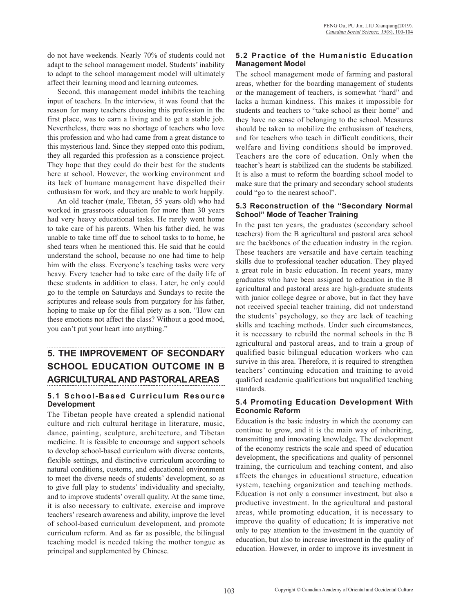do not have weekends. Nearly 70% of students could not adapt to the school management model. Students' inability to adapt to the school management model will ultimately affect their learning mood and learning outcomes.

Second, this management model inhibits the teaching input of teachers. In the interview, it was found that the reason for many teachers choosing this profession in the first place, was to earn a living and to get a stable job. Nevertheless, there was no shortage of teachers who love this profession and who had came from a great distance to this mysterious land. Since they stepped onto this podium, they all regarded this profession as a conscience project. They hope that they could do their best for the students here at school. However, the working environment and its lack of humane management have dispelled their enthusiasm for work, and they are unable to work happily.

An old teacher (male, Tibetan, 55 years old) who had worked in grassroots education for more than 30 years had very heavy educational tasks. He rarely went home to take care of his parents. When his father died, he was unable to take time off due to school tasks to to home, he shed tears when he mentioned this. He said that he could understand the school, because no one had time to help him with the class. Everyone's teaching tasks were very heavy. Every teacher had to take care of the daily life of these students in addition to class. Later, he only could go to the temple on Saturdays and Sundays to recite the scriptures and release souls from purgatory for his father, hoping to make up for the filial piety as a son. "How can these emotions not affect the class? Without a good mood, you can't put your heart into anything."

# **5. THE IMPROVEMENT OF SECONDARY SCHOOL EDUCATION OUTCOME IN B AGRICULTURAL AND PASTORAL AREAS**

#### **5.1 School-Based Curriculum Resource Development**

The Tibetan people have created a splendid national culture and rich cultural heritage in literature, music, dance, painting, sculpture, architecture, and Tibetan medicine. It is feasible to encourage and support schools to develop school-based curriculum with diverse contents, flexible settings, and distinctive curriculum according to natural conditions, customs, and educational environment to meet the diverse needs of students' development, so as to give full play to students' individuality and specialty, and to improve students' overall quality. At the same time, it is also necessary to cultivate, exercise and improve teachers' research awareness and ability, improve the level of school-based curriculum development, and promote curriculum reform. And as far as possible, the bilingual teaching model is needed taking the mother tongue as principal and supplemented by Chinese.

#### **5.2 Practice of the Humanistic Education Management Model**

The school management mode of farming and pastoral areas, whether for the boarding management of students or the management of teachers, is somewhat "hard" and lacks a human kindness. This makes it impossible for students and teachers to "take school as their home" and they have no sense of belonging to the school. Measures should be taken to mobilize the enthusiasm of teachers, and for teachers who teach in difficult conditions, their welfare and living conditions should be improved. Teachers are the core of education. Only when the teacher's heart is stabilized can the students be stabilized. It is also a must to reform the boarding school model to make sure that the primary and secondary school students could "go to the nearest school".

#### **5.3 Reconstruction of the "Secondary Normal School" Mode of Teacher Training**

In the past ten years, the graduates (secondary school teachers) from the B agricultural and pastoral area school are the backbones of the education industry in the region. These teachers are versatile and have certain teaching skills due to professional teacher education. They played a great role in basic education. In recent years, many graduates who have been assigned to education in the B agricultural and pastoral areas are high-graduate students with junior college degree or above, but in fact they have not received special teacher training, did not understand the students' psychology, so they are lack of teaching skills and teaching methods. Under such circumstances, it is necessary to rebuild the normal schools in the B agricultural and pastoral areas, and to train a group of qualified basic bilingual education workers who can survive in this area. Therefore, it is required to strengthen teachers' continuing education and training to avoid qualified academic qualifications but unqualified teaching standards.

#### **5.4 Promoting Education Development With Economic Reform**

Education is the basic industry in which the economy can continue to grow, and it is the main way of inheriting, transmitting and innovating knowledge. The development of the economy restricts the scale and speed of education development, the specifications and quality of personnel training, the curriculum and teaching content, and also affects the changes in educational structure, education system, teaching organization and teaching methods. Education is not only a consumer investment, but also a productive investment. In the agricultural and pastoral areas, while promoting education, it is necessary to improve the quality of education; It is imperative not only to pay attention to the investment in the quantity of education, but also to increase investment in the quality of education. However, in order to improve its investment in